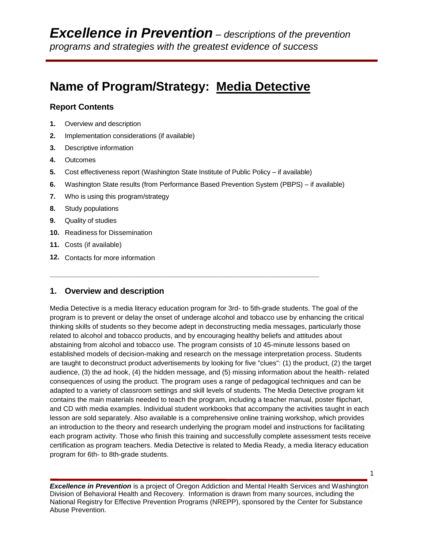# **Name of Program/Strategy: Media Detective**

#### **Report Contents**

- **1.** Overview and description
- **2.** Implementation considerations (if available)
- **3.** Descriptive information
- **4.** Outcomes
- **5.** Cost effectiveness report (Washington State Institute of Public Policy if available)

**\_\_\_\_\_\_\_\_\_\_\_\_\_\_\_\_\_\_\_\_\_\_\_\_\_\_\_\_\_\_\_\_\_\_\_\_\_\_\_\_\_\_\_\_\_\_\_\_\_\_\_\_\_\_\_\_\_\_\_\_\_\_\_\_\_\_\_\_\_\_**

- **6.** Washington State results (from Performance Based Prevention System (PBPS) if available)
- **7.** Who is using this program/strategy
- **8.** Study populations
- **9.** Quality of studies
- **10.** Readiness for Dissemination
- **11.** Costs (if available)
- **12.** Contacts for more information

#### **1. Overview and description**

Media Detective is a media literacy education program for 3rd- to 5th-grade students. The goal of the program is to prevent or delay the onset of underage alcohol and tobacco use by enhancing the critical thinking skills of students so they become adept in deconstructing media messages, particularly those related to alcohol and tobacco products, and by encouraging healthy beliefs and attitudes about abstaining from alcohol and tobacco use. The program consists of 10 45-minute lessons based on established models of decision-making and research on the message interpretation process. Students are taught to deconstruct product advertisements by looking for five "clues": (1) the product, (2) the target audience, (3) the ad hook, (4) the hidden message, and (5) missing information about the health- related consequences of using the product. The program uses a range of pedagogical techniques and can be adapted to a variety of classroom settings and skill levels of students. The Media Detective program kit contains the main materials needed to teach the program, including a teacher manual, poster flipchart, and CD with media examples. Individual student workbooks that accompany the activities taught in each lesson are sold separately. Also available is a comprehensive online training workshop, which provides an introduction to the theory and research underlying the program model and instructions for facilitating each program activity. Those who finish this training and successfully complete assessment tests receive certification as program teachers. Media Detective is related to Media Ready, a media literacy education program for 6th- to 8th-grade students.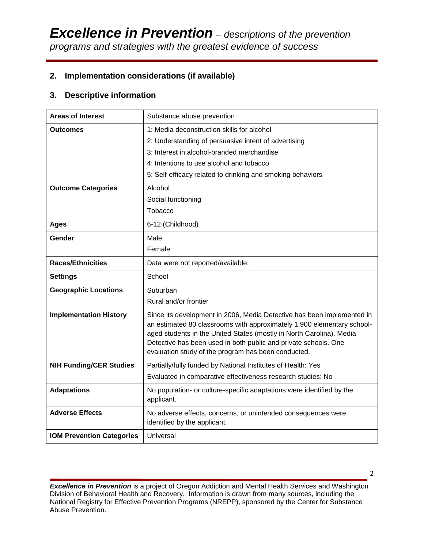# **2. Implementation considerations (if available)**

## **3. Descriptive information**

| <b>Areas of Interest</b>         | Substance abuse prevention                                                                                                                                                                                                                                                                                                                         |  |  |  |
|----------------------------------|----------------------------------------------------------------------------------------------------------------------------------------------------------------------------------------------------------------------------------------------------------------------------------------------------------------------------------------------------|--|--|--|
| Outcomes                         | 1: Media deconstruction skills for alcohol                                                                                                                                                                                                                                                                                                         |  |  |  |
|                                  | 2: Understanding of persuasive intent of advertising                                                                                                                                                                                                                                                                                               |  |  |  |
|                                  | 3: Interest in alcohol-branded merchandise                                                                                                                                                                                                                                                                                                         |  |  |  |
|                                  | 4: Intentions to use alcohol and tobacco                                                                                                                                                                                                                                                                                                           |  |  |  |
|                                  | 5: Self-efficacy related to drinking and smoking behaviors                                                                                                                                                                                                                                                                                         |  |  |  |
| <b>Outcome Categories</b>        | Alcohol                                                                                                                                                                                                                                                                                                                                            |  |  |  |
|                                  | Social functioning                                                                                                                                                                                                                                                                                                                                 |  |  |  |
|                                  | Tobacco                                                                                                                                                                                                                                                                                                                                            |  |  |  |
| <b>Ages</b>                      | 6-12 (Childhood)                                                                                                                                                                                                                                                                                                                                   |  |  |  |
| Gender                           | Male                                                                                                                                                                                                                                                                                                                                               |  |  |  |
|                                  | Female                                                                                                                                                                                                                                                                                                                                             |  |  |  |
| <b>Races/Ethnicities</b>         | Data were not reported/available.                                                                                                                                                                                                                                                                                                                  |  |  |  |
| <b>Settings</b>                  | School                                                                                                                                                                                                                                                                                                                                             |  |  |  |
| <b>Geographic Locations</b>      | Suburban                                                                                                                                                                                                                                                                                                                                           |  |  |  |
|                                  | Rural and/or frontier                                                                                                                                                                                                                                                                                                                              |  |  |  |
| <b>Implementation History</b>    | Since its development in 2006, Media Detective has been implemented in<br>an estimated 80 classrooms with approximately 1,900 elementary school-<br>aged students in the United States (mostly in North Carolina). Media<br>Detective has been used in both public and private schools. One<br>evaluation study of the program has been conducted. |  |  |  |
| <b>NIH Funding/CER Studies</b>   | Partially/fully funded by National Institutes of Health: Yes                                                                                                                                                                                                                                                                                       |  |  |  |
|                                  | Evaluated in comparative effectiveness research studies: No                                                                                                                                                                                                                                                                                        |  |  |  |
| <b>Adaptations</b>               | No population- or culture-specific adaptations were identified by the<br>applicant.                                                                                                                                                                                                                                                                |  |  |  |
| <b>Adverse Effects</b>           | No adverse effects, concerns, or unintended consequences were<br>identified by the applicant.                                                                                                                                                                                                                                                      |  |  |  |
| <b>IOM Prevention Categories</b> | Universal                                                                                                                                                                                                                                                                                                                                          |  |  |  |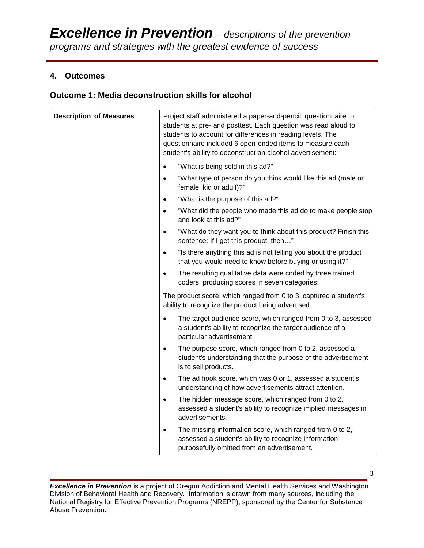# **4. Outcomes**

# **Outcome 1: Media deconstruction skills for alcohol**

| <b>Description of Measures</b> | Project staff administered a paper-and-pencil questionnaire to<br>students at pre- and posttest. Each question was read aloud to<br>students to account for differences in reading levels. The<br>questionnaire included 6 open-ended items to measure each<br>student's ability to deconstruct an alcohol advertisement: |
|--------------------------------|---------------------------------------------------------------------------------------------------------------------------------------------------------------------------------------------------------------------------------------------------------------------------------------------------------------------------|
|                                | "What is being sold in this ad?"<br>$\bullet$                                                                                                                                                                                                                                                                             |
|                                | "What type of person do you think would like this ad (male or<br>$\bullet$<br>female, kid or adult)?"                                                                                                                                                                                                                     |
|                                | "What is the purpose of this ad?"<br>$\bullet$                                                                                                                                                                                                                                                                            |
|                                | "What did the people who made this ad do to make people stop<br>$\bullet$<br>and look at this ad?"                                                                                                                                                                                                                        |
|                                | "What do they want you to think about this product? Finish this<br>$\bullet$<br>sentence: If I get this product, then"                                                                                                                                                                                                    |
|                                | "Is there anything this ad is not telling you about the product<br>$\bullet$<br>that you would need to know before buying or using it?"                                                                                                                                                                                   |
|                                | The resulting qualitative data were coded by three trained<br>$\bullet$<br>coders, producing scores in seven categories:                                                                                                                                                                                                  |
|                                | The product score, which ranged from 0 to 3, captured a student's<br>ability to recognize the product being advertised.                                                                                                                                                                                                   |
|                                | The target audience score, which ranged from 0 to 3, assessed<br>$\bullet$<br>a student's ability to recognize the target audience of a<br>particular advertisement.                                                                                                                                                      |
|                                | The purpose score, which ranged from 0 to 2, assessed a<br>$\bullet$<br>student's understanding that the purpose of the advertisement<br>is to sell products.                                                                                                                                                             |
|                                | The ad hook score, which was 0 or 1, assessed a student's<br>$\bullet$<br>understanding of how advertisements attract attention.                                                                                                                                                                                          |
|                                | The hidden message score, which ranged from 0 to 2,<br>$\bullet$<br>assessed a student's ability to recognize implied messages in<br>advertisements.                                                                                                                                                                      |
|                                | The missing information score, which ranged from 0 to 2,<br>$\bullet$<br>assessed a student's ability to recognize information<br>purposefully omitted from an advertisement.                                                                                                                                             |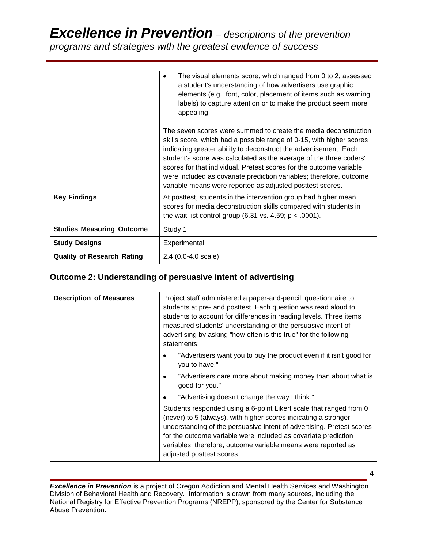# *Excellence in Prevention – descriptions of the prevention programs and strategies with the greatest evidence of success*

|                                   | The visual elements score, which ranged from 0 to 2, assessed<br>٠<br>a student's understanding of how advertisers use graphic<br>elements (e.g., font, color, placement of items such as warning<br>labels) to capture attention or to make the product seem more<br>appealing.<br>The seven scores were summed to create the media deconstruction<br>skills score, which had a possible range of 0-15, with higher scores<br>indicating greater ability to deconstruct the advertisement. Each<br>student's score was calculated as the average of the three coders'<br>scores for that individual. Pretest scores for the outcome variable<br>were included as covariate prediction variables; therefore, outcome<br>variable means were reported as adjusted posttest scores. |  |
|-----------------------------------|-----------------------------------------------------------------------------------------------------------------------------------------------------------------------------------------------------------------------------------------------------------------------------------------------------------------------------------------------------------------------------------------------------------------------------------------------------------------------------------------------------------------------------------------------------------------------------------------------------------------------------------------------------------------------------------------------------------------------------------------------------------------------------------|--|
|                                   |                                                                                                                                                                                                                                                                                                                                                                                                                                                                                                                                                                                                                                                                                                                                                                                   |  |
| <b>Key Findings</b>               | At posttest, students in the intervention group had higher mean<br>scores for media deconstruction skills compared with students in<br>the wait-list control group $(6.31 \text{ vs. } 4.59; \text{ p} < .0001)$ .                                                                                                                                                                                                                                                                                                                                                                                                                                                                                                                                                                |  |
| <b>Studies Measuring Outcome</b>  | Study 1                                                                                                                                                                                                                                                                                                                                                                                                                                                                                                                                                                                                                                                                                                                                                                           |  |
| <b>Study Designs</b>              | Experimental                                                                                                                                                                                                                                                                                                                                                                                                                                                                                                                                                                                                                                                                                                                                                                      |  |
| <b>Quality of Research Rating</b> | 2.4 (0.0-4.0 scale)                                                                                                                                                                                                                                                                                                                                                                                                                                                                                                                                                                                                                                                                                                                                                               |  |

# **Outcome 2: Understanding of persuasive intent of advertising**

| <b>Description of Measures</b> | Project staff administered a paper-and-pencil questionnaire to<br>students at pre- and posttest. Each question was read aloud to<br>students to account for differences in reading levels. Three items<br>measured students' understanding of the persuasive intent of<br>advertising by asking "how often is this true" for the following<br>statements:                      |  |
|--------------------------------|--------------------------------------------------------------------------------------------------------------------------------------------------------------------------------------------------------------------------------------------------------------------------------------------------------------------------------------------------------------------------------|--|
|                                | "Advertisers want you to buy the product even if it isn't good for<br>you to have."                                                                                                                                                                                                                                                                                            |  |
|                                | "Advertisers care more about making money than about what is<br>$\bullet$<br>good for you."                                                                                                                                                                                                                                                                                    |  |
|                                | "Advertising doesn't change the way I think."<br>٠                                                                                                                                                                                                                                                                                                                             |  |
|                                | Students responded using a 6-point Likert scale that ranged from 0<br>(never) to 5 (always), with higher scores indicating a stronger<br>understanding of the persuasive intent of advertising. Pretest scores<br>for the outcome variable were included as covariate prediction<br>variables; therefore, outcome variable means were reported as<br>adjusted posttest scores. |  |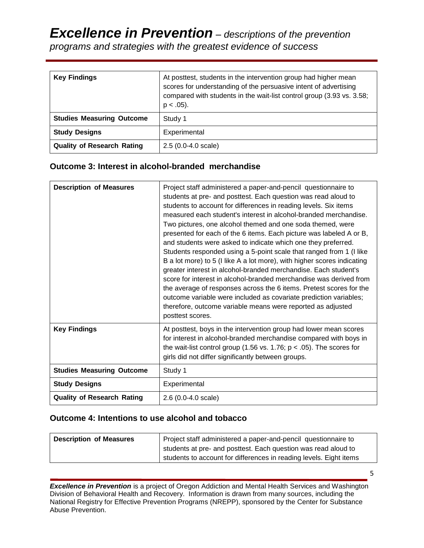*Excellence in Prevention – descriptions of the prevention programs and strategies with the greatest evidence of success*

| <b>Key Findings</b>               | At posttest, students in the intervention group had higher mean<br>scores for understanding of the persuasive intent of advertising<br>compared with students in the wait-list control group (3.93 vs. 3.58;<br>$p < .05$ ). |  |
|-----------------------------------|------------------------------------------------------------------------------------------------------------------------------------------------------------------------------------------------------------------------------|--|
| <b>Studies Measuring Outcome</b>  | Study 1                                                                                                                                                                                                                      |  |
| <b>Study Designs</b>              | Experimental                                                                                                                                                                                                                 |  |
| <b>Quality of Research Rating</b> | $2.5(0.0-4.0 scale)$                                                                                                                                                                                                         |  |

#### **Outcome 3: Interest in alcohol-branded merchandise**

| <b>Description of Measures</b>    | Project staff administered a paper-and-pencil questionnaire to<br>students at pre- and posttest. Each question was read aloud to<br>students to account for differences in reading levels. Six items<br>measured each student's interest in alcohol-branded merchandise.<br>Two pictures, one alcohol themed and one soda themed, were<br>presented for each of the 6 items. Each picture was labeled A or B,<br>and students were asked to indicate which one they preferred.<br>Students responded using a 5-point scale that ranged from 1 (I like<br>B a lot more) to 5 (I like A a lot more), with higher scores indicating<br>greater interest in alcohol-branded merchandise. Each student's<br>score for interest in alcohol-branded merchandise was derived from<br>the average of responses across the 6 items. Pretest scores for the<br>outcome variable were included as covariate prediction variables;<br>therefore, outcome variable means were reported as adjusted<br>posttest scores. |
|-----------------------------------|----------------------------------------------------------------------------------------------------------------------------------------------------------------------------------------------------------------------------------------------------------------------------------------------------------------------------------------------------------------------------------------------------------------------------------------------------------------------------------------------------------------------------------------------------------------------------------------------------------------------------------------------------------------------------------------------------------------------------------------------------------------------------------------------------------------------------------------------------------------------------------------------------------------------------------------------------------------------------------------------------------|
| <b>Key Findings</b>               | At posttest, boys in the intervention group had lower mean scores<br>for interest in alcohol-branded merchandise compared with boys in<br>the wait-list control group (1.56 vs. 1.76; $p < .05$ ). The scores for<br>girls did not differ significantly between groups.                                                                                                                                                                                                                                                                                                                                                                                                                                                                                                                                                                                                                                                                                                                                  |
| <b>Studies Measuring Outcome</b>  | Study 1                                                                                                                                                                                                                                                                                                                                                                                                                                                                                                                                                                                                                                                                                                                                                                                                                                                                                                                                                                                                  |
| <b>Study Designs</b>              | Experimental                                                                                                                                                                                                                                                                                                                                                                                                                                                                                                                                                                                                                                                                                                                                                                                                                                                                                                                                                                                             |
| <b>Quality of Research Rating</b> | 2.6 (0.0-4.0 scale)                                                                                                                                                                                                                                                                                                                                                                                                                                                                                                                                                                                                                                                                                                                                                                                                                                                                                                                                                                                      |

#### **Outcome 4: Intentions to use alcohol and tobacco**

| <b>Description of Measures</b> | Project staff administered a paper-and-pencil questionnaire to     |  |
|--------------------------------|--------------------------------------------------------------------|--|
|                                | students at pre- and posttest. Each question was read aloud to     |  |
|                                | students to account for differences in reading levels. Eight items |  |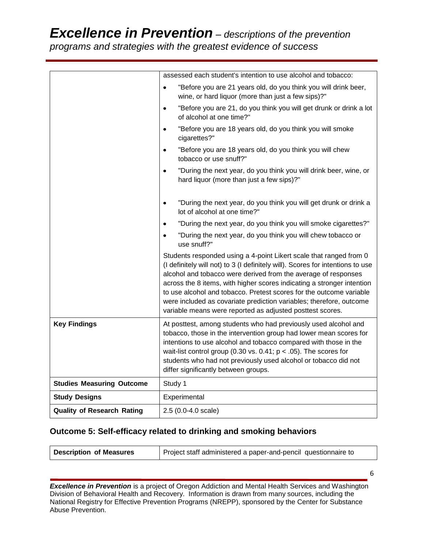# *Excellence in Prevention – descriptions of the prevention*

*programs and strategies with the greatest evidence of success*

|                                   | assessed each student's intention to use alcohol and tobacco:                                                                                                                                                                                                                                                                                                                                                                                                                                               |  |  |  |
|-----------------------------------|-------------------------------------------------------------------------------------------------------------------------------------------------------------------------------------------------------------------------------------------------------------------------------------------------------------------------------------------------------------------------------------------------------------------------------------------------------------------------------------------------------------|--|--|--|
|                                   | "Before you are 21 years old, do you think you will drink beer,<br>$\bullet$<br>wine, or hard liquor (more than just a few sips)?"                                                                                                                                                                                                                                                                                                                                                                          |  |  |  |
|                                   | "Before you are 21, do you think you will get drunk or drink a lot<br>$\bullet$<br>of alcohol at one time?"                                                                                                                                                                                                                                                                                                                                                                                                 |  |  |  |
|                                   | "Before you are 18 years old, do you think you will smoke<br>$\bullet$<br>cigarettes?"                                                                                                                                                                                                                                                                                                                                                                                                                      |  |  |  |
|                                   | "Before you are 18 years old, do you think you will chew<br>$\bullet$<br>tobacco or use snuff?"                                                                                                                                                                                                                                                                                                                                                                                                             |  |  |  |
|                                   | "During the next year, do you think you will drink beer, wine, or<br>$\bullet$<br>hard liquor (more than just a few sips)?"                                                                                                                                                                                                                                                                                                                                                                                 |  |  |  |
|                                   | "During the next year, do you think you will get drunk or drink a<br>$\bullet$<br>lot of alcohol at one time?"                                                                                                                                                                                                                                                                                                                                                                                              |  |  |  |
|                                   | "During the next year, do you think you will smoke cigarettes?"<br>$\bullet$                                                                                                                                                                                                                                                                                                                                                                                                                                |  |  |  |
|                                   | "During the next year, do you think you will chew tobacco or<br>$\bullet$<br>use snuff?"                                                                                                                                                                                                                                                                                                                                                                                                                    |  |  |  |
|                                   | Students responded using a 4-point Likert scale that ranged from 0<br>(I definitely will not) to 3 (I definitely will). Scores for intentions to use<br>alcohol and tobacco were derived from the average of responses<br>across the 8 items, with higher scores indicating a stronger intention<br>to use alcohol and tobacco. Pretest scores for the outcome variable<br>were included as covariate prediction variables; therefore, outcome<br>variable means were reported as adjusted posttest scores. |  |  |  |
| <b>Key Findings</b>               | At posttest, among students who had previously used alcohol and<br>tobacco, those in the intervention group had lower mean scores for<br>intentions to use alcohol and tobacco compared with those in the<br>wait-list control group (0.30 vs. 0.41; $p < .05$ ). The scores for<br>students who had not previously used alcohol or tobacco did not<br>differ significantly between groups.                                                                                                                 |  |  |  |
| <b>Studies Measuring Outcome</b>  | Study 1                                                                                                                                                                                                                                                                                                                                                                                                                                                                                                     |  |  |  |
| <b>Study Designs</b>              | Experimental                                                                                                                                                                                                                                                                                                                                                                                                                                                                                                |  |  |  |
| <b>Quality of Research Rating</b> | 2.5 (0.0-4.0 scale)                                                                                                                                                                                                                                                                                                                                                                                                                                                                                         |  |  |  |

# **Outcome 5: Self-efficacy related to drinking and smoking behaviors**

| Project staff administered a paper-and-pencil questionnaire to<br><b>Description of Measures</b> |  |
|--------------------------------------------------------------------------------------------------|--|
|--------------------------------------------------------------------------------------------------|--|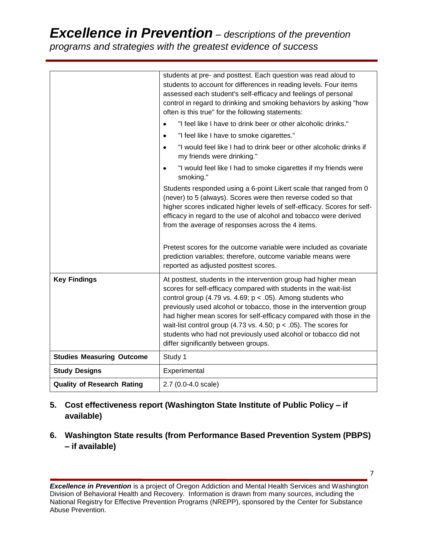*Excellence in Prevention – descriptions of the prevention* 

*programs and strategies with the greatest evidence of success*

|                                   | students at pre- and posttest. Each question was read aloud to<br>students to account for differences in reading levels. Four items<br>assessed each student's self-efficacy and feelings of personal<br>control in regard to drinking and smoking behaviors by asking "how<br>often is this true" for the following statements:                                                                                                                                                                                                     |  |  |  |
|-----------------------------------|--------------------------------------------------------------------------------------------------------------------------------------------------------------------------------------------------------------------------------------------------------------------------------------------------------------------------------------------------------------------------------------------------------------------------------------------------------------------------------------------------------------------------------------|--|--|--|
|                                   | "I feel like I have to drink beer or other alcoholic drinks."<br>$\bullet$                                                                                                                                                                                                                                                                                                                                                                                                                                                           |  |  |  |
|                                   | "I feel like I have to smoke cigarettes."<br>$\bullet$                                                                                                                                                                                                                                                                                                                                                                                                                                                                               |  |  |  |
|                                   | "I would feel like I had to drink beer or other alcoholic drinks if<br>my friends were drinking."                                                                                                                                                                                                                                                                                                                                                                                                                                    |  |  |  |
|                                   | "I would feel like I had to smoke cigarettes if my friends were<br>smoking."                                                                                                                                                                                                                                                                                                                                                                                                                                                         |  |  |  |
|                                   | Students responded using a 6-point Likert scale that ranged from 0<br>(never) to 5 (always). Scores were then reverse coded so that<br>higher scores indicated higher levels of self-efficacy. Scores for self-<br>efficacy in regard to the use of alcohol and tobacco were derived<br>from the average of responses across the 4 items.                                                                                                                                                                                            |  |  |  |
|                                   | Pretest scores for the outcome variable were included as covariate<br>prediction variables; therefore, outcome variable means were<br>reported as adjusted posttest scores.                                                                                                                                                                                                                                                                                                                                                          |  |  |  |
| <b>Key Findings</b>               | At posttest, students in the intervention group had higher mean<br>scores for self-efficacy compared with students in the wait-list<br>control group (4.79 vs. 4.69; $p < .05$ ). Among students who<br>previously used alcohol or tobacco, those in the intervention group<br>had higher mean scores for self-efficacy compared with those in the<br>wait-list control group (4.73 vs. 4.50; $p < .05$ ). The scores for<br>students who had not previously used alcohol or tobacco did not<br>differ significantly between groups. |  |  |  |
| <b>Studies Measuring Outcome</b>  | Study 1                                                                                                                                                                                                                                                                                                                                                                                                                                                                                                                              |  |  |  |
| <b>Study Designs</b>              | Experimental                                                                                                                                                                                                                                                                                                                                                                                                                                                                                                                         |  |  |  |
| <b>Quality of Research Rating</b> | 2.7 (0.0-4.0 scale)                                                                                                                                                                                                                                                                                                                                                                                                                                                                                                                  |  |  |  |

- **5. Cost effectiveness report (Washington State Institute of Public Policy – if available)**
- **6. Washington State results (from Performance Based Prevention System (PBPS) – if available)**

*Excellence in Prevention* is a project of Oregon Addiction and Mental Health Services and Washington Division of Behavioral Health and Recovery. Information is drawn from many sources, including the National Registry for Effective Prevention Programs (NREPP), sponsored by the Center for Substance Abuse Prevention.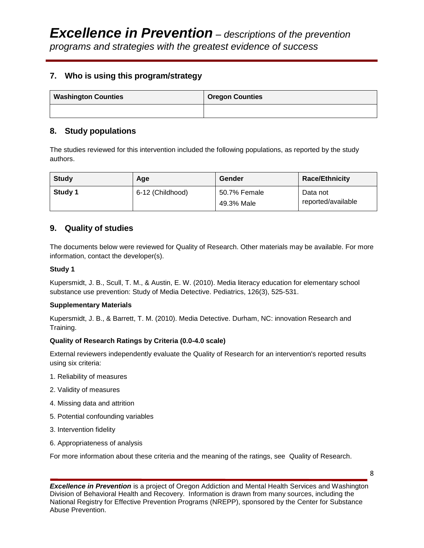# **7. Who is using this program/strategy**

| <b>Washington Counties</b> | <b>Oregon Counties</b> |
|----------------------------|------------------------|
|                            |                        |

# **8. Study populations**

The studies reviewed for this intervention included the following populations, as reported by the study authors.

| <b>Study</b> | Age              | Gender                     | <b>Race/Ethnicity</b>          |
|--------------|------------------|----------------------------|--------------------------------|
| Study 1      | 6-12 (Childhood) | 50.7% Female<br>49.3% Male | Data not<br>reported/available |

## **9. Quality of studies**

The documents below were reviewed for Quality of Research. Other materials may be available. For more information, contact the developer(s).

#### **Study 1**

[Kupersmidt, J. B., Scull, T. M., & Austin, E. W. \(2010\). Media literacy education for elementary school](http://www.ncbi.nlm.nih.gov/pubmed/20732940)  [substance use prevention: Study of](http://www.ncbi.nlm.nih.gov/pubmed/20732940) Media Detective. Pediatrics, 126(3), 525-531.

#### **Supplementary Materials**

Kupersmidt, J. B., & Barrett, T. M. (2010). Media Detective. Durham, NC: innovation Research and Training.

#### **Quality of Research Ratings by Criteria (0.0-4.0 scale)**

External reviewers independently evaluate the Quality of Research for an intervention's reported results using six criteria:

- 1. Reliability of measures
- 2. Validity of measures
- 4. Missing data and attrition
- 5. Potential confounding variables
- 3. Intervention fidelity
- 6. Appropriateness of analysis

For more information about these criteria and the meaning of the ratings, see Quality of Research.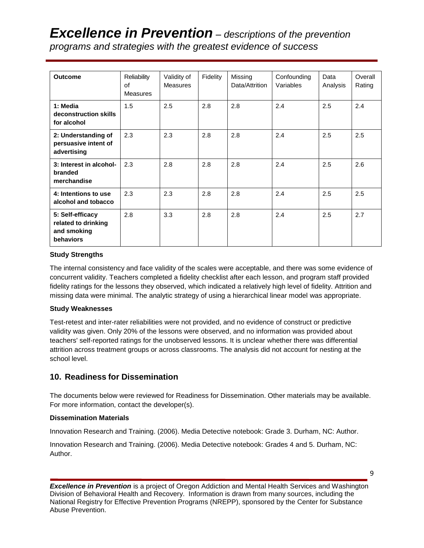# *Excellence in Prevention – descriptions of the prevention programs and strategies with the greatest evidence of success*

| <b>Outcome</b>                                                      | Reliability<br>of<br><b>Measures</b> | Validity of<br><b>Measures</b> | Fidelity | Missing<br>Data/Attrition | Confounding<br>Variables | Data<br>Analysis | Overall<br>Rating |
|---------------------------------------------------------------------|--------------------------------------|--------------------------------|----------|---------------------------|--------------------------|------------------|-------------------|
| 1: Media<br>deconstruction skills<br>for alcohol                    | 1.5                                  | 2.5                            | 2.8      | 2.8                       | 2.4                      | 2.5              | 2.4               |
| 2: Understanding of<br>persuasive intent of<br>advertising          | 2.3                                  | 2.3                            | 2.8      | 2.8                       | 2.4                      | 2.5              | 2.5               |
| 3: Interest in alcohol-<br>branded<br>merchandise                   | 2.3                                  | 2.8                            | 2.8      | 2.8                       | 2.4                      | 2.5              | 2.6               |
| 4: Intentions to use<br>alcohol and tobacco                         | 2.3                                  | 2.3                            | 2.8      | 2.8                       | 2.4                      | 2.5              | 2.5               |
| 5: Self-efficacy<br>related to drinking<br>and smoking<br>behaviors | 2.8                                  | 3.3                            | 2.8      | 2.8                       | 2.4                      | 2.5              | 2.7               |

#### **Study Strengths**

The internal consistency and face validity of the scales were acceptable, and there was some evidence of concurrent validity. Teachers completed a fidelity checklist after each lesson, and program staff provided fidelity ratings for the lessons they observed, which indicated a relatively high level of fidelity. Attrition and missing data were minimal. The analytic strategy of using a hierarchical linear model was appropriate.

#### **Study Weaknesses**

Test-retest and inter-rater reliabilities were not provided, and no evidence of construct or predictive validity was given. Only 20% of the lessons were observed, and no information was provided about teachers' self-reported ratings for the unobserved lessons. It is unclear whether there was differential attrition across treatment groups or across classrooms. The analysis did not account for nesting at the school level.

## **10. Readiness for Dissemination**

The documents below were reviewed for Readiness for Dissemination. Other materials may be available. For more information, contact the developer(s).

#### **Dissemination Materials**

Innovation Research and Training. (2006). Media Detective notebook: Grade 3. Durham, NC: Author.

Innovation Research and Training. (2006). Media Detective notebook: Grades 4 and 5. Durham, NC: Author.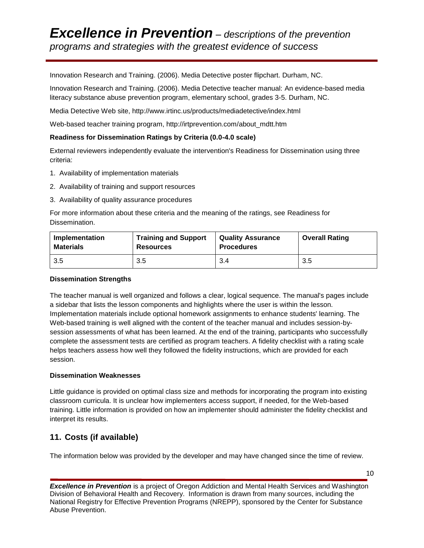Innovation Research and Training. (2006). Media Detective poster flipchart. Durham, NC.

Innovation Research and Training. (2006). Media Detective teacher manual: An evidence-based media literacy substance abuse prevention program, elementary school, grades 3-5. Durham, NC.

Media Detective Web site, http://www.irtinc.us/products/mediadetective/index.html

Web-based teacher training program, http://irtprevention.com/about\_mdtt.htm

#### **Readiness for Dissemination Ratings by Criteria (0.0-4.0 scale)**

External reviewers independently evaluate the intervention's Readiness for Dissemination using three criteria:

- 1. Availability of implementation materials
- 2. Availability of training and support resources
- 3. Availability of quality assurance procedures

For more information about these criteria and the meaning of the ratings, see Readiness for Dissemination.

| Implementation   | <b>Training and Support</b> | <b>Quality Assurance</b> | <b>Overall Rating</b> |
|------------------|-----------------------------|--------------------------|-----------------------|
| <b>Materials</b> | <b>Resources</b>            | <b>Procedures</b>        |                       |
| 3.5              | 3.5                         | 3.4                      | 3.5                   |

#### **Dissemination Strengths**

The teacher manual is well organized and follows a clear, logical sequence. The manual's pages include a sidebar that lists the lesson components and highlights where the user is within the lesson. Implementation materials include optional homework assignments to enhance students' learning. The Web-based training is well aligned with the content of the teacher manual and includes session-bysession assessments of what has been learned. At the end of the training, participants who successfully complete the assessment tests are certified as program teachers. A fidelity checklist with a rating scale helps teachers assess how well they followed the fidelity instructions, which are provided for each session.

#### **Dissemination Weaknesses**

Little guidance is provided on optimal class size and methods for incorporating the program into existing classroom curricula. It is unclear how implementers access support, if needed, for the Web-based training. Little information is provided on how an implementer should administer the fidelity checklist and interpret its results.

## **11. Costs (if available)**

The information below was provided by the developer and may have changed since the time of review.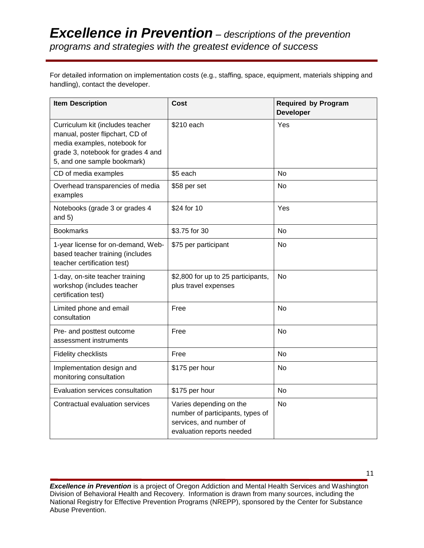For detailed information on implementation costs (e.g., staffing, space, equipment, materials shipping and handling), contact the developer.

| <b>Item Description</b>                                                                                                                                                  | <b>Cost</b>                                                                                                         | <b>Required by Program</b><br><b>Developer</b> |  |
|--------------------------------------------------------------------------------------------------------------------------------------------------------------------------|---------------------------------------------------------------------------------------------------------------------|------------------------------------------------|--|
| Curriculum kit (includes teacher<br>manual, poster flipchart, CD of<br>media examples, notebook for<br>grade 3, notebook for grades 4 and<br>5, and one sample bookmark) | \$210 each                                                                                                          | Yes                                            |  |
| CD of media examples                                                                                                                                                     | \$5 each                                                                                                            | <b>No</b>                                      |  |
| Overhead transparencies of media<br>examples                                                                                                                             | \$58 per set                                                                                                        | No                                             |  |
| Notebooks (grade 3 or grades 4<br>and $5)$                                                                                                                               | \$24 for 10                                                                                                         | Yes                                            |  |
| <b>Bookmarks</b>                                                                                                                                                         | \$3.75 for 30                                                                                                       | No                                             |  |
| 1-year license for on-demand, Web-<br>based teacher training (includes<br>teacher certification test)                                                                    | \$75 per participant                                                                                                | <b>No</b>                                      |  |
| 1-day, on-site teacher training<br>workshop (includes teacher<br>certification test)                                                                                     | \$2,800 for up to 25 participants,<br>plus travel expenses                                                          | <b>No</b>                                      |  |
| Limited phone and email<br>consultation                                                                                                                                  | Free                                                                                                                | <b>No</b>                                      |  |
| Pre- and posttest outcome<br>assessment instruments                                                                                                                      | Free                                                                                                                | <b>No</b>                                      |  |
| <b>Fidelity checklists</b>                                                                                                                                               | Free                                                                                                                | No.                                            |  |
| Implementation design and<br>monitoring consultation                                                                                                                     | \$175 per hour                                                                                                      | <b>No</b>                                      |  |
| Evaluation services consultation                                                                                                                                         | \$175 per hour                                                                                                      | <b>No</b>                                      |  |
| Contractual evaluation services                                                                                                                                          | Varies depending on the<br>number of participants, types of<br>services, and number of<br>evaluation reports needed | No.                                            |  |